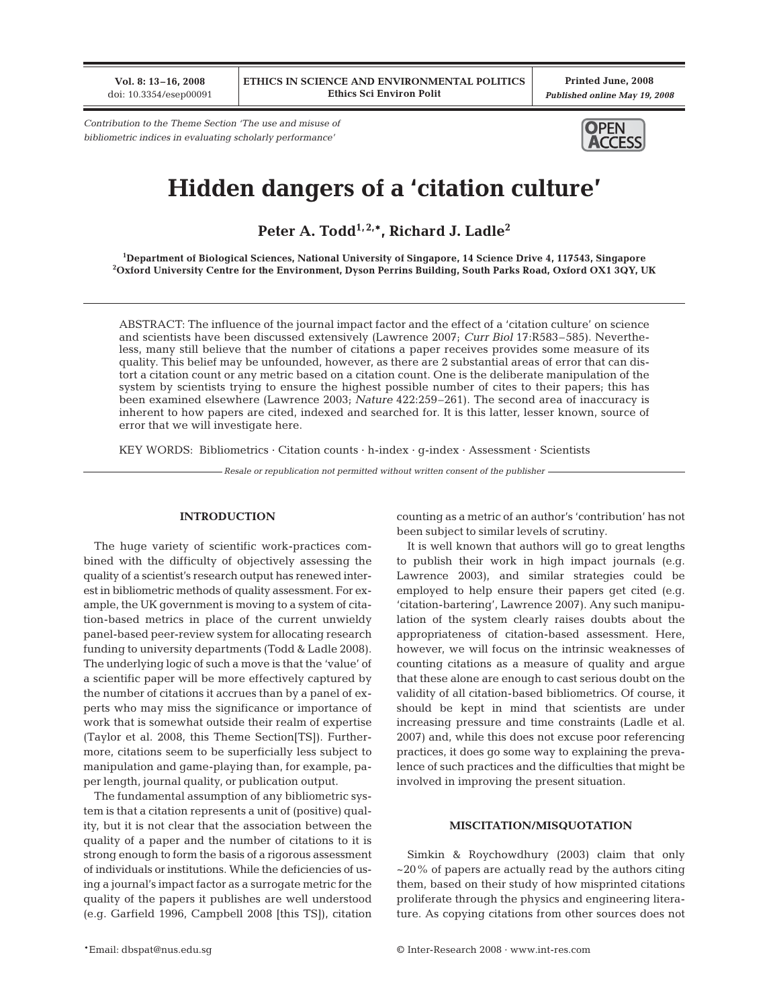**Vol. 8: 13–16, 2008** doi: 10.3354/esep00091

**Printed June, 2008** *Published online May 19, 2008*

*Contribution to the Theme Section 'The use and misuse of bibliometric indices in evaluating scholarly performance'*



# **Hidden dangers of a 'citation culture'**

Peter A. Todd<sup>1,2,\*</sup>, Richard J. Ladle<sup>2</sup>

**1 Department of Biological Sciences, National University of Singapore, 14 Science Drive 4, 117543, Singapore 2 Oxford University Centre for the Environment, Dyson Perrins Building, South Parks Road, Oxford OX1 3QY, UK**

ABSTRACT: The influence of the journal impact factor and the effect of a 'citation culture' on science and scientists have been discussed extensively (Lawrence 2007; *Curr Biol* 17:R583–585). Nevertheless, many still believe that the number of citations a paper receives provides some measure of its quality. This belief may be unfounded, however, as there are 2 substantial areas of error that can distort a citation count or any metric based on a citation count. One is the deliberate manipulation of the system by scientists trying to ensure the highest possible number of cites to their papers; this has been examined elsewhere (Lawrence 2003; *Nature* 422:259–261). The second area of inaccuracy is inherent to how papers are cited, indexed and searched for. It is this latter, lesser known, source of error that we will investigate here.

KEY WORDS: Bibliometrics · Citation counts · h-index · g-index · Assessment · Scientists

*Resale or republication not permitted without written consent of the publisher*

# **INTRODUCTION**

The huge variety of scientific work-practices combined with the difficulty of objectively assessing the quality of a scientist's research output has renewed interest in bibliometric methods of quality assessment. For example, the UK government is moving to a system of citation-based metrics in place of the current unwieldy panel-based peer-review system for allocating research funding to university departments (Todd & Ladle 2008). The underlying logic of such a move is that the 'value' of a scientific paper will be more effectively captured by the number of citations it accrues than by a panel of experts who may miss the significance or importance of work that is somewhat outside their realm of expertise (Taylor et al. 2008, this Theme Section[TS]). Furthermore, citations seem to be superficially less subject to manipulation and game-playing than, for example, paper length, journal quality, or publication output.

The fundamental assumption of any bibliometric system is that a citation represents a unit of (positive) quality, but it is not clear that the association between the quality of a paper and the number of citations to it is strong enough to form the basis of a rigorous assessment of individuals or institutions. While the deficiencies of using a journal's impact factor as a surrogate metric for the quality of the papers it publishes are well understood (e.g. Garfield 1996, Campbell 2008 [this TS]), citation

counting as a metric of an author's 'contribution' has not been subject to similar levels of scrutiny.

It is well known that authors will go to great lengths to publish their work in high impact journals (e.g. Lawrence 2003), and similar strategies could be employed to help ensure their papers get cited (e.g. 'citation-bartering', Lawrence 2007). Any such manipulation of the system clearly raises doubts about the appropriateness of citation-based assessment. Here, however, we will focus on the intrinsic weaknesses of counting citations as a measure of quality and argue that these alone are enough to cast serious doubt on the validity of all citation-based bibliometrics. Of course, it should be kept in mind that scientists are under increasing pressure and time constraints (Ladle et al. 2007) and, while this does not excuse poor referencing practices, it does go some way to explaining the prevalence of such practices and the difficulties that might be involved in improving the present situation.

#### **MISCITATION/MISQUOTATION**

Simkin & Roychowdhury (2003) claim that only  $\sim$ 20% of papers are actually read by the authors citing them, based on their study of how misprinted citations proliferate through the physics and engineering literature. As copying citations from other sources does not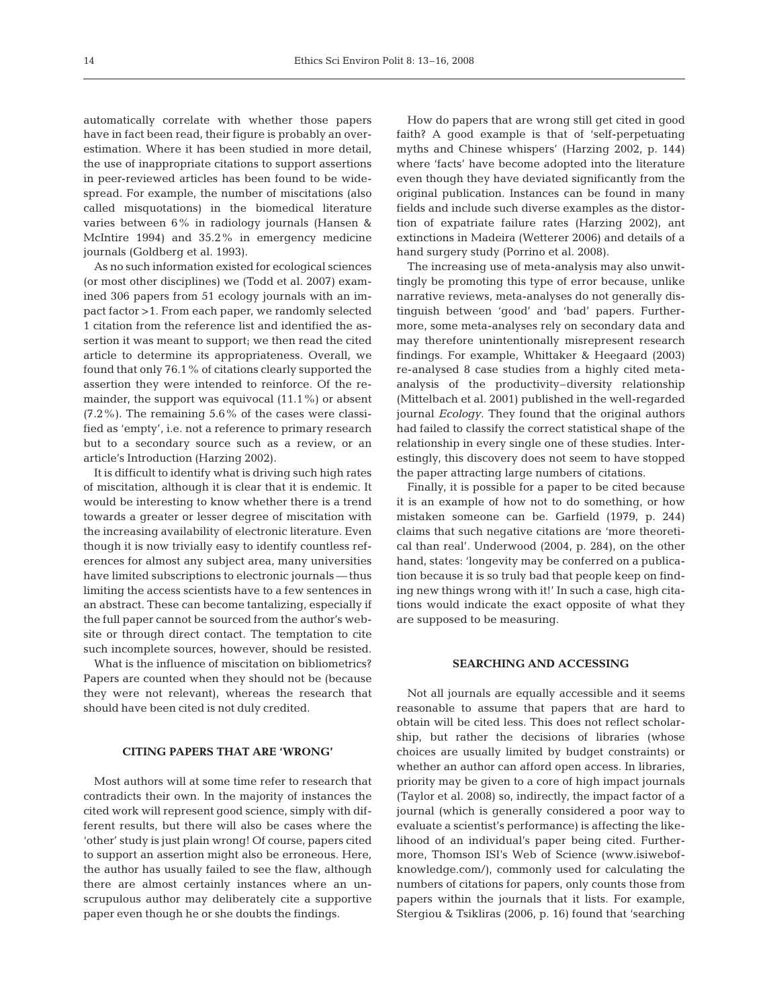automatically correlate with whether those papers have in fact been read, their figure is probably an overestimation. Where it has been studied in more detail, the use of inappropriate citations to support assertions in peer-reviewed articles has been found to be widespread. For example, the number of miscitations (also called misquotations) in the biomedical literature varies between 6% in radiology journals (Hansen & McIntire 1994) and 35.2% in emergency medicine journals (Goldberg et al. 1993).

As no such information existed for ecological sciences (or most other disciplines) we (Todd et al. 2007) examined 306 papers from 51 ecology journals with an impact factor >1. From each paper, we randomly selected 1 citation from the reference list and identified the assertion it was meant to support; we then read the cited article to determine its appropriateness. Overall, we found that only 76.1% of citations clearly supported the assertion they were intended to reinforce. Of the remainder, the support was equivocal (11.1%) or absent (7.2%). The remaining 5.6% of the cases were classified as 'empty', i.e. not a reference to primary research but to a secondary source such as a review, or an article's Introduction (Harzing 2002).

It is difficult to identify what is driving such high rates of miscitation, although it is clear that it is endemic. It would be interesting to know whether there is a trend towards a greater or lesser degree of miscitation with the increasing availability of electronic literature. Even though it is now trivially easy to identify countless references for almost any subject area, many universities have limited subscriptions to electronic journals — thus limiting the access scientists have to a few sentences in an abstract. These can become tantalizing, especially if the full paper cannot be sourced from the author's website or through direct contact. The temptation to cite such incomplete sources, however, should be resisted.

What is the influence of miscitation on bibliometrics? Papers are counted when they should not be (because they were not relevant), whereas the research that should have been cited is not duly credited.

# **CITING PAPERS THAT ARE 'WRONG'**

Most authors will at some time refer to research that contradicts their own. In the majority of instances the cited work will represent good science, simply with different results, but there will also be cases where the 'other' study is just plain wrong! Of course, papers cited to support an assertion might also be erroneous. Here, the author has usually failed to see the flaw, although there are almost certainly instances where an unscrupulous author may deliberately cite a supportive paper even though he or she doubts the findings.

How do papers that are wrong still get cited in good faith? A good example is that of 'self-perpetuating myths and Chinese whispers' (Harzing 2002, p. 144) where 'facts' have become adopted into the literature even though they have deviated significantly from the original publication. Instances can be found in many fields and include such diverse examples as the distortion of expatriate failure rates (Harzing 2002), ant extinctions in Madeira (Wetterer 2006) and details of a hand surgery study (Porrino et al. 2008).

The increasing use of meta-analysis may also unwittingly be promoting this type of error because, unlike narrative reviews, meta-analyses do not generally distinguish between 'good' and 'bad' papers. Furthermore, some meta-analyses rely on secondary data and may therefore unintentionally misrepresent research findings. For example, Whittaker & Heegaard (2003) re-analysed 8 case studies from a highly cited metaanalysis of the productivity–diversity relationship (Mittelbach et al. 2001) published in the well-regarded journal *Ecology*. They found that the original authors had failed to classify the correct statistical shape of the relationship in every single one of these studies. Interestingly, this discovery does not seem to have stopped the paper attracting large numbers of citations.

Finally, it is possible for a paper to be cited because it is an example of how not to do something, or how mistaken someone can be. Garfield (1979, p. 244) claims that such negative citations are 'more theoretical than real'. Underwood (2004, p. 284), on the other hand, states: 'longevity may be conferred on a publication because it is so truly bad that people keep on finding new things wrong with it!' In such a case, high citations would indicate the exact opposite of what they are supposed to be measuring.

### **SEARCHING AND ACCESSING**

Not all journals are equally accessible and it seems reasonable to assume that papers that are hard to obtain will be cited less. This does not reflect scholarship, but rather the decisions of libraries (whose choices are usually limited by budget constraints) or whether an author can afford open access. In libraries, priority may be given to a core of high impact journals (Taylor et al. 2008) so, indirectly, the impact factor of a journal (which is generally considered a poor way to evaluate a scientist's performance) is affecting the likelihood of an individual's paper being cited. Furthermore, Thomson ISI's Web of Science (www.isiwebofknowledge.com/), commonly used for calculating the numbers of citations for papers, only counts those from papers within the journals that it lists. For example, Stergiou & Tsikliras (2006, p. 16) found that 'searching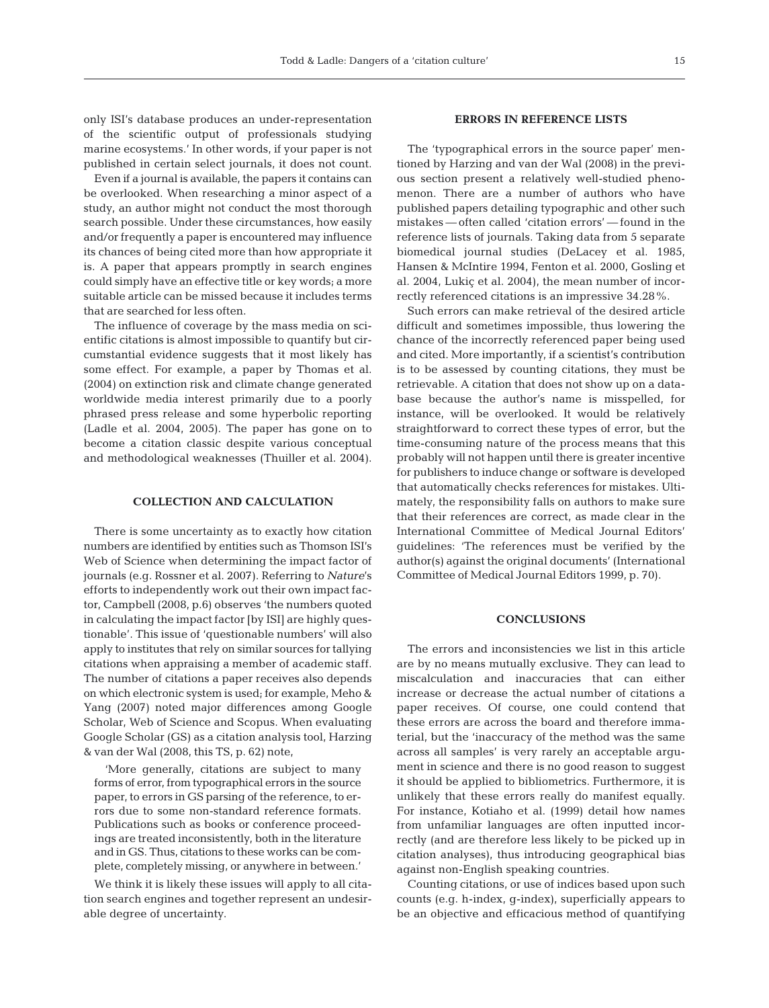only ISI's database produces an under-representation of the scientific output of professionals studying marine ecosystems.' In other words, if your paper is not published in certain select journals, it does not count.

Even if a journal is available, the papers it contains can be overlooked. When researching a minor aspect of a study, an author might not conduct the most thorough search possible. Under these circumstances, how easily and/or frequently a paper is encountered may influence its chances of being cited more than how appropriate it is. A paper that appears promptly in search engines could simply have an effective title or key words; a more suitable article can be missed because it includes terms that are searched for less often.

The influence of coverage by the mass media on scientific citations is almost impossible to quantify but circumstantial evidence suggests that it most likely has some effect. For example, a paper by Thomas et al. (2004) on extinction risk and climate change generated worldwide media interest primarily due to a poorly phrased press release and some hyperbolic reporting (Ladle et al. 2004, 2005). The paper has gone on to become a citation classic despite various conceptual and methodological weaknesses (Thuiller et al. 2004).

## **COLLECTION AND CALCULATION**

There is some uncertainty as to exactly how citation numbers are identified by entities such as Thomson ISI's Web of Science when determining the impact factor of journals (e.g. Rossner et al. 2007). Referring to *Nature*'s efforts to independently work out their own impact factor, Campbell (2008, p.6) observes 'the numbers quoted in calculating the impact factor [by ISI] are highly questionable'. This issue of 'questionable numbers' will also apply to institutes that rely on similar sources for tallying citations when appraising a member of academic staff. The number of citations a paper receives also depends on which electronic system is used; for example, Meho & Yang (2007) noted major differences among Google Scholar, Web of Science and Scopus. When evaluating Google Scholar (GS) as a citation analysis tool, Harzing & van der Wal (2008, this TS, p. 62) note,

'More generally, citations are subject to many forms of error, from typographical errors in the source paper, to errors in GS parsing of the reference, to errors due to some non-standard reference formats. Publications such as books or conference proceedings are treated inconsistently, both in the literature and in GS. Thus, citations to these works can be complete, completely missing, or anywhere in between.'

We think it is likely these issues will apply to all citation search engines and together represent an undesirable degree of uncertainty.

## **ERRORS IN REFERENCE LISTS**

The 'typographical errors in the source paper' mentioned by Harzing and van der Wal (2008) in the previous section present a relatively well-studied phenomenon. There are a number of authors who have published papers detailing typographic and other such mistakes — often called 'citation errors' — found in the reference lists of journals. Taking data from 5 separate biomedical journal studies (DeLacey et al. 1985, Hansen & McIntire 1994, Fenton et al. 2000, Gosling et al. 2004, Lukiç et al. 2004), the mean number of incorrectly referenced citations is an impressive 34.28%.

Such errors can make retrieval of the desired article difficult and sometimes impossible, thus lowering the chance of the incorrectly referenced paper being used and cited. More importantly, if a scientist's contribution is to be assessed by counting citations, they must be retrievable. A citation that does not show up on a database because the author's name is misspelled, for instance, will be overlooked. It would be relatively straightforward to correct these types of error, but the time-consuming nature of the process means that this probably will not happen until there is greater incentive for publishers to induce change or software is developed that automatically checks references for mistakes. Ultimately, the responsibility falls on authors to make sure that their references are correct, as made clear in the International Committee of Medical Journal Editors' guidelines: 'The references must be verified by the author(s) against the original documents' (International Committee of Medical Journal Editors 1999, p. 70).

# **CONCLUSIONS**

The errors and inconsistencies we list in this article are by no means mutually exclusive. They can lead to miscalculation and inaccuracies that can either increase or decrease the actual number of citations a paper receives. Of course, one could contend that these errors are across the board and therefore immaterial, but the 'inaccuracy of the method was the same across all samples' is very rarely an acceptable argument in science and there is no good reason to suggest it should be applied to bibliometrics. Furthermore, it is unlikely that these errors really do manifest equally. For instance, Kotiaho et al. (1999) detail how names from unfamiliar languages are often inputted incorrectly (and are therefore less likely to be picked up in citation analyses), thus introducing geographical bias against non-English speaking countries.

Counting citations, or use of indices based upon such counts (e.g. h-index, g-index), superficially appears to be an objective and efficacious method of quantifying